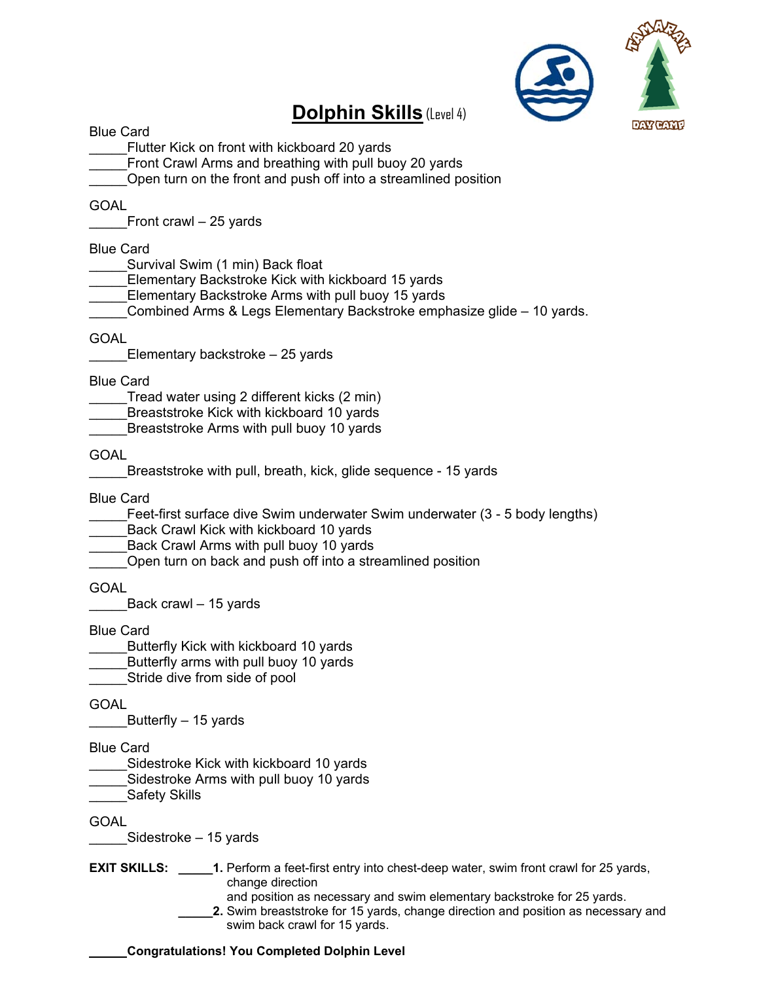

# **Dolphin Skills** (Level 4)

Blue Card

\_\_\_\_\_Flutter Kick on front with kickboard 20 yards

Front Crawl Arms and breathing with pull buoy 20 yards

Open turn on the front and push off into a streamlined position

#### GOAL

Front crawl – 25 yards

#### Blue Card

Survival Swim (1 min) Back float

\_\_\_\_\_Elementary Backstroke Kick with kickboard 15 yards

Elementary Backstroke Arms with pull buoy 15 yards

Combined Arms & Legs Elementary Backstroke emphasize glide – 10 yards.

#### GOAL

Elementary backstroke – 25 yards

Blue Card

Tread water using 2 different kicks (2 min)

Breaststroke Kick with kickboard 10 yards

Breaststroke Arms with pull buoy 10 yards

GOAL

Breaststroke with pull, breath, kick, glide sequence - 15 yards

Blue Card

Feet-first surface dive Swim underwater Swim underwater (3 - 5 body lengths)

Back Crawl Kick with kickboard 10 yards

Back Crawl Arms with pull buoy 10 yards

Open turn on back and push off into a streamlined position

**GOAL** 

Back crawl – 15 yards

Blue Card

Butterfly Kick with kickboard 10 yards

- Butterfly arms with pull buoy 10 yards
- Stride dive from side of pool

GOAL

Butterfly – 15 yards

Blue Card

Sidestroke Kick with kickboard 10 yards

- Sidestroke Arms with pull buoy 10 yards
- Safety Skills

GOAL

Sidestroke – 15 yards

**EXIT SKILLS: \_\_\_\_\_1.** Perform a feet-first entry into chest-deep water, swim front crawl for 25 yards, change direction

and position as necessary and swim elementary backstroke for 25 yards. **\_\_\_\_\_2.** Swim breaststroke for 15 yards, change direction and position as necessary and swim back crawl for 15 yards.

#### \_\_\_\_\_ **Congratulations! You Completed Dolphin Level**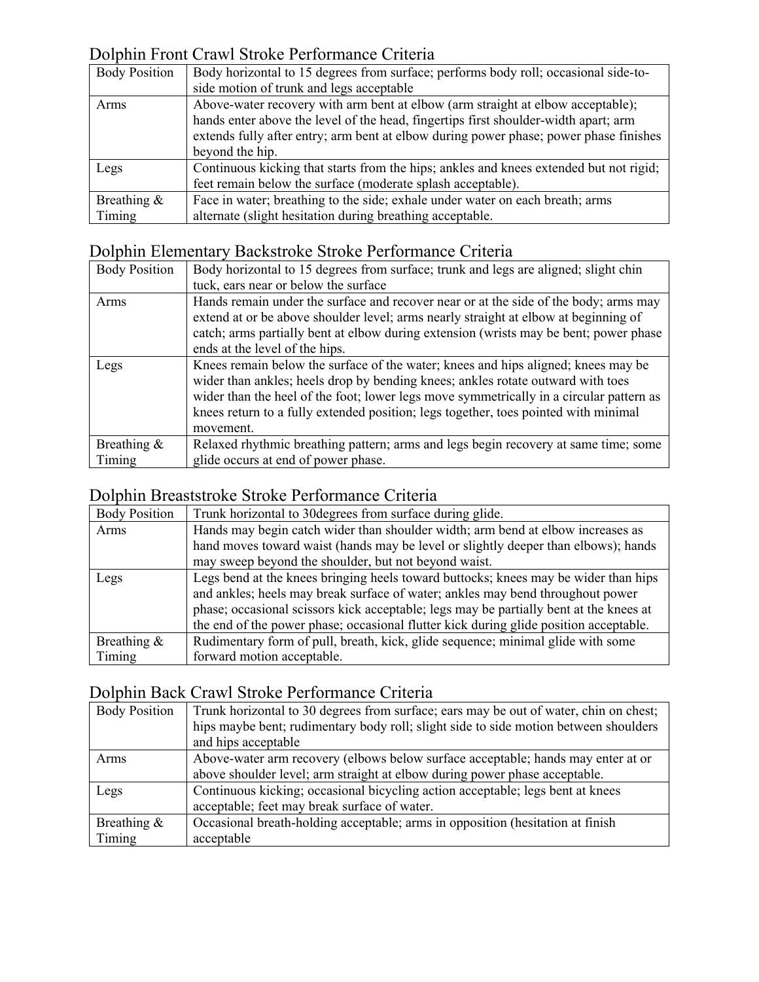### Dolphin Front Crawl Stroke Performance Criteria

| <b>Body Position</b> | Body horizontal to 15 degrees from surface; performs body roll; occasional side-to-                                                                                    |
|----------------------|------------------------------------------------------------------------------------------------------------------------------------------------------------------------|
|                      | side motion of trunk and legs acceptable                                                                                                                               |
| Arms                 | Above-water recovery with arm bent at elbow (arm straight at elbow acceptable);<br>hands enter above the level of the head, fingertips first shoulder-width apart; arm |
|                      | extends fully after entry; arm bent at elbow during power phase; power phase finishes                                                                                  |
|                      | beyond the hip.                                                                                                                                                        |
| Legs                 | Continuous kicking that starts from the hips; ankles and knees extended but not rigid;                                                                                 |
|                      | feet remain below the surface (moderate splash acceptable).                                                                                                            |
| Breathing $\&$       | Face in water; breathing to the side; exhale under water on each breath; arms                                                                                          |
| Timing               | alternate (slight hesitation during breathing acceptable.                                                                                                              |

# Dolphin Elementary Backstroke Stroke Performance Criteria

| <b>Body Position</b> | Body horizontal to 15 degrees from surface; trunk and legs are aligned; slight chin                                                                                                                                                                                                                                                                                 |
|----------------------|---------------------------------------------------------------------------------------------------------------------------------------------------------------------------------------------------------------------------------------------------------------------------------------------------------------------------------------------------------------------|
|                      | tuck, ears near or below the surface                                                                                                                                                                                                                                                                                                                                |
| Arms                 | Hands remain under the surface and recover near or at the side of the body; arms may<br>extend at or be above shoulder level; arms nearly straight at elbow at beginning of<br>catch; arms partially bent at elbow during extension (wrists may be bent; power phase<br>ends at the level of the hips.                                                              |
| Legs                 | Knees remain below the surface of the water; knees and hips aligned; knees may be<br>wider than ankles; heels drop by bending knees; ankles rotate outward with toes<br>wider than the heel of the foot; lower legs move symmetrically in a circular pattern as<br>knees return to a fully extended position; legs together, toes pointed with minimal<br>movement. |
| Breathing &          | Relaxed rhythmic breathing pattern; arms and legs begin recovery at same time; some                                                                                                                                                                                                                                                                                 |
| Timing               | glide occurs at end of power phase.                                                                                                                                                                                                                                                                                                                                 |

### Dolphin Breaststroke Stroke Performance Criteria

| <b>Body Position</b> | Trunk horizontal to 30 degrees from surface during glide.                              |
|----------------------|----------------------------------------------------------------------------------------|
| Arms                 | Hands may begin catch wider than shoulder width; arm bend at elbow increases as        |
|                      | hand moves toward waist (hands may be level or slightly deeper than elbows); hands     |
|                      | may sweep beyond the shoulder, but not beyond waist.                                   |
| Legs                 | Legs bend at the knees bringing heels toward buttocks; knees may be wider than hips    |
|                      | and ankles; heels may break surface of water; ankles may bend throughout power         |
|                      | phase; occasional scissors kick acceptable; legs may be partially bent at the knees at |
|                      | the end of the power phase; occasional flutter kick during glide position acceptable.  |
| Breathing &          | Rudimentary form of pull, breath, kick, glide sequence; minimal glide with some        |
| Timing               | forward motion acceptable.                                                             |

### Dolphin Back Crawl Stroke Performance Criteria

| <b>Body Position</b> | Trunk horizontal to 30 degrees from surface; ears may be out of water, chin on chest; |
|----------------------|---------------------------------------------------------------------------------------|
|                      | hips maybe bent; rudimentary body roll; slight side to side motion between shoulders  |
|                      | and hips acceptable                                                                   |
| Arms                 | Above-water arm recovery (elbows below surface acceptable; hands may enter at or      |
|                      | above shoulder level; arm straight at elbow during power phase acceptable.            |
| Legs                 | Continuous kicking; occasional bicycling action acceptable; legs bent at knees        |
|                      | acceptable; feet may break surface of water.                                          |
| Breathing &          | Occasional breath-holding acceptable; arms in opposition (hesitation at finish        |
| Timing               | acceptable                                                                            |